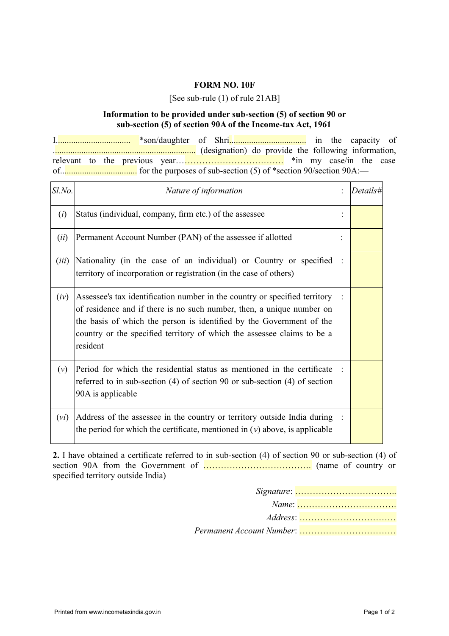## **FORM NO. 10F**

[See sub-rule (1) of rule 21AB]

## **Information to be provided under sub-section (5) of section 90 or sub-section (5) of section 90A of the Income-tax Act, 1961**

I.................................. \*son/daughter of Shri................................... in the capacity of ................................................................. (designation) do provide the following information, relevant to the previous year………………………………. \*in my case/in the case of................................... for the purposes of sub-section (5) of \*section 90/section 90A:—

| Sl.No. | Nature of information                                                                                                                                                                                                                                                                                              | Details# |
|--------|--------------------------------------------------------------------------------------------------------------------------------------------------------------------------------------------------------------------------------------------------------------------------------------------------------------------|----------|
| (i)    | Status (individual, company, firm etc.) of the assessee                                                                                                                                                                                                                                                            |          |
| (ii)   | Permanent Account Number (PAN) of the assessee if allotted                                                                                                                                                                                                                                                         |          |
| (iii)  | Nationality (in the case of an individual) or Country or specified<br>territory of incorporation or registration (in the case of others)                                                                                                                                                                           |          |
| (iv)   | Assessee's tax identification number in the country or specified territory<br>of residence and if there is no such number, then, a unique number on<br>the basis of which the person is identified by the Government of the<br>country or the specified territory of which the assessee claims to be a<br>resident |          |
| (v)    | Period for which the residential status as mentioned in the certificate :<br>referred to in sub-section (4) of section 90 or sub-section (4) of section<br>90A is applicable                                                                                                                                       |          |
| (vi)   | Address of the assessee in the country or territory outside India during<br>the period for which the certificate, mentioned in $(v)$ above, is applicable                                                                                                                                                          |          |

**2.** I have obtained a certificate referred to in sub-section (4) of section 90 or sub-section (4) of section 90A from the Government of ………………………………. (name of country or specified territory outside India)

|                           | $Address: \ldots$ |
|---------------------------|-------------------|
| Permanent Account Number: |                   |